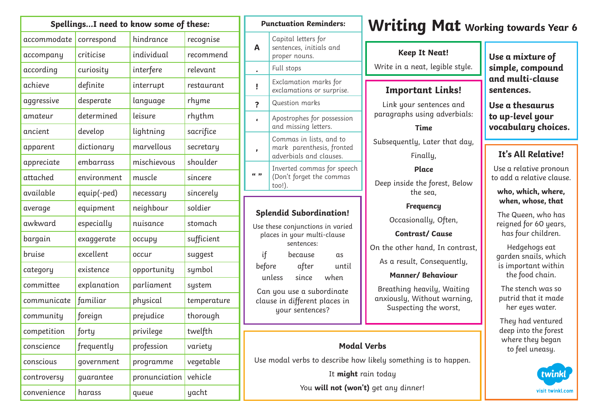| SpellingsI need to know some of these: |             |               |             |
|----------------------------------------|-------------|---------------|-------------|
| accommodate                            | correspond  | hindrance     | recognise   |
| accompany                              | criticise   | individual    | recommend   |
| according                              | curiosity   | interfere     | relevant    |
| achieve                                | definite    | interrupt     | restaurant  |
| aggressive                             | desperate   | language      | rhyme       |
| amateur                                | determined  | leisure       | rhythm      |
| ancient                                | develop     | lightning     | sacrifice   |
| apparent                               | dictionary  | marvellous    | secretary   |
| appreciate                             | embarrass   | mischievous   | shoulder    |
| attached                               | environment | muscle        | sincere     |
| available                              | equip(-ped) | necessary     | sincerely   |
| average                                | equipment   | neighbour     | soldier     |
| awkward                                | especially  | nuisance      | stomach     |
| bargain                                | exaggerate  | occupy        | sufficient  |
| bruise                                 | excellent   | occur         | suggest     |
| category                               | existence   | opportunity   | symbol      |
| committee                              | explanation | parliament    | system      |
| communicate                            | familiar    | physical      | temperature |
| community                              | foreign     | prejudice     | thorough    |
| competition                            | forty       | privilege     | twelfth     |
| conscience                             | frequently  | profession    | variety     |
| conscious                              | government  | programme     | vegetable   |
| controversy                            | guarantee   | pronunciation | vehicle     |
| convenience                            | harass      | queue         | yacht       |

## **Splendid Subordination!** Use these conjunctions in varied places in your multi-clause sentences: if because as before after until unless since when Can you use a subordinate clause in different places in your sentences? **Punctuation Reminders: A** Capital letters for sentences, initials and proper nouns. **.** Full stops **!** Exclamation marks for exclamations or surprise. **?** Question marks **'** Apostrophes for possession and missing letters. **,** Commas in lists, and to mark parenthesis, fronted adverbials and clauses. **" "** Inverted commas for speech (Don't forget the commas too!).

## **Writing Mat Working towards Year 6**

## **Keep It Neat!**

Write in a neat, legible style.

## **Important Links!**

Link your sentences and paragraphs using adverbials:

#### **Time**

Subsequently, Later that day,

Finally,

## **Place**

Deep inside the forest, Below the sea,

**Frequency** 

Occasionally, Often,

**Contrast/ Cause**

On the other hand, In contrast,

As a result, Consequently,

#### **Manner/ Behaviour**

Breathing heavily, Waiting anxiously, Without warning, Suspecting the worst,

## **Modal Verbs**

Use modal verbs to describe how likely something is to happen. It **might** rain today You **will not (won't)** get any dinner!

**Use a mixture of simple, compound and multi-clause sentences.**

**Use a thesaurus to up-level your vocabulary choices.**

## **It's All Relative!**

Use a relative pronoun to add a relative clause.

#### **who, which, where, when, whose, that**

The Queen, who has reigned for 60 years, has four children.

Hedgehogs eat garden snails, which is important within the food chain.

The stench was so putrid that it made her eyes water.

They had ventured deep into the forest where they began to feel uneasy.

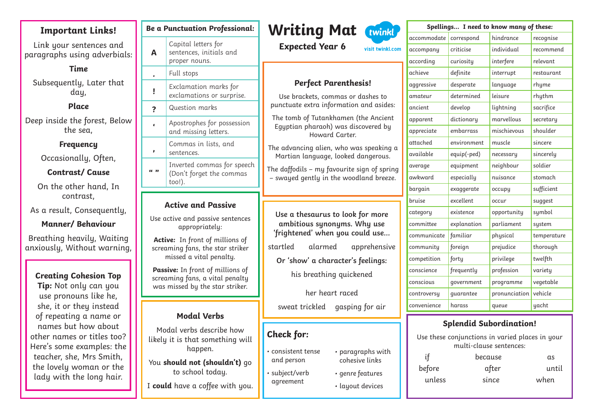## **Important Links!**

Link your sentences and paragraphs using adverbials:

**Time**  Subsequently, Later that day,

#### **Place**

Deep inside the forest, Below the sea,

#### **Frequency**

Occasionally, Often,

#### **Contrast/ Cause**

On the other hand, In contrast,

As a result, Consequently,

#### **Manner/ Behaviour**

Breathing heavily, Waiting anxiously, Without warning,

#### **Creating Cohesion Top**

**Tip:** Not only can you use pronouns like he, she, it or they instead of repeating a name or names but how about other names or titles too? Here's some examples: the teacher, she, Mrs Smith, the lovely woman or the lady with the long hair.

|                                                                         | Be a Punctuation Professional:                                                                                                                                                                                                                                                              |                                  |
|-------------------------------------------------------------------------|---------------------------------------------------------------------------------------------------------------------------------------------------------------------------------------------------------------------------------------------------------------------------------------------|----------------------------------|
| A                                                                       | Capital letters for<br>sentences, initials and<br>proper nouns.                                                                                                                                                                                                                             |                                  |
|                                                                         | Full stops                                                                                                                                                                                                                                                                                  |                                  |
| ì                                                                       | Exclamation marks for<br>exclamations or surprise.                                                                                                                                                                                                                                          |                                  |
| ?                                                                       | Question marks                                                                                                                                                                                                                                                                              | pur                              |
| Ċ                                                                       | Apostrophes for possession<br>and missing letters.                                                                                                                                                                                                                                          | Th<br>E                          |
| ı                                                                       | Commas in lists, and<br>sentences.                                                                                                                                                                                                                                                          | The<br>Μ                         |
| "                                                                       | Inverted commas for speech<br>(Don't forget the commas<br>$\text{too}$ !).                                                                                                                                                                                                                  | The<br>$- \mathsf{S}$            |
|                                                                         |                                                                                                                                                                                                                                                                                             |                                  |
|                                                                         | <b>Active and Passive</b><br>Use active and passive sentences<br>appropriately:<br>Active: In front of millions of<br>screaming fans, the star striker<br>missed a vital penalty.<br>Passive: In front of millions of<br>screaming fans, a vital penalty<br>was missed by the star striker. | U<br>՛քյ<br>stai<br>$\mathsf{C}$ |
|                                                                         | <b>Modal Verbs</b>                                                                                                                                                                                                                                                                          | Ś                                |
| Modal verbs describe how<br>likely it is that something will<br>happen. |                                                                                                                                                                                                                                                                                             | Ch <sub>0</sub><br>COI           |
|                                                                         | You should not (shouldn't) go                                                                                                                                                                                                                                                               | an                               |

to school today.

I **could** have a coffee with you.



visit twinkl com

**Expected Year 6**

## **Perfect Parenthesis!**

Use brackets, commas or dashes to nctuate extra information and asides:

te tomb of Tutankhamen (the Ancient Egyptian pharaoh) was discovered by Howard Carter.

advancing alien, who was speaking a Martian language, looked dangerous.

daffodils – mu favourite sign of spring  $\omega$  – wayed gently in the woodland breeze.

**Use a thesaurus to look for more ambitious synonyms. Why use 'frightened' when you could use...** rtled alarmed apprehensive

**Or 'show' a character's feelings:** his breathing quickened

her heart raced

sweat trickled gasping for air

• paragraphs with cohesive links

• genre features • layout devices

## eck for:

- consistent tense d person.
- subject/verb agreement

| Spellings I need to know many of these: |             |               |             |  |  |
|-----------------------------------------|-------------|---------------|-------------|--|--|
| accommodate                             | correspond  | hindrance     | recognise   |  |  |
| accompany                               | criticise   | individual    | recommend   |  |  |
| according                               | curiosity   | interfere     | relevant    |  |  |
| achieve                                 | definite    | interrupt     | restaurant  |  |  |
| aggressive                              | desperate   | language      | rhyme       |  |  |
| amateur                                 | determined  | leisure       | rhythm      |  |  |
| ancient                                 | develop     | lightning     | sacrifice   |  |  |
| apparent                                | dictionary  | marvellous    | secretary   |  |  |
| appreciate                              | embarrass   | mischievous   | shoulder    |  |  |
| attached                                | environment | muscle        | sincere     |  |  |
| available                               | equip(-ped) | necessary     | sincerely   |  |  |
| average                                 | equipment   | neighbour     | soldier     |  |  |
| awkward                                 | especially  | nuisance      | stomach     |  |  |
| bargain                                 | exaggerate  | occupy        | sufficient  |  |  |
| bruise                                  | excellent   | occur         | suggest     |  |  |
| category                                | existence   | opportunity   | symbol      |  |  |
| committee                               | explanation | parliament    | system      |  |  |
| communicate                             | familiar    | physical      | temperature |  |  |
| community                               | foreign     | prejudice     | thorough    |  |  |
| competition                             | forty       | privilege     | twelfth     |  |  |
| conscience                              | frequently  | profession    | variety     |  |  |
| conscious                               | government  | programme     | vegetable   |  |  |
| controversy                             | quarantee   | pronunciation | vehicle     |  |  |
| convenience                             | harass      | queue         | yacht       |  |  |
|                                         |             |               |             |  |  |

#### **Splendid Subordination!**

Use these conjunctions in varied places in your multi-clause sentences:

| if     | because | αs    |  |
|--------|---------|-------|--|
| before | after   | until |  |
| unless | since   | when  |  |